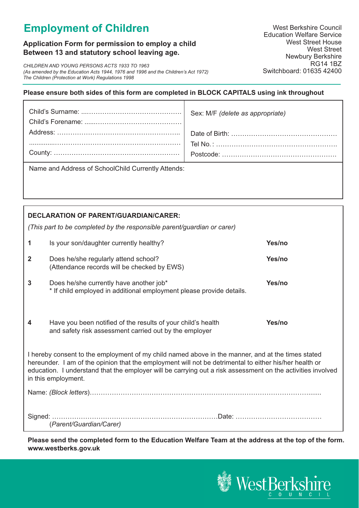# **Employment of Children**

# **Application Form for permission to employ a child Between 13 and statutory school leaving age.**

*CHILDREN AND YOUNG PERSONS ACTS 1933 TO 1963 (As amended by the Education Acts 1944, 1976 and 1996 and the Children's Act 1972) The Children (Protection at Work) Regulations 1998*

### **Please ensure both sides of this form are completed in BLOCK CAPITALS using ink throughout**

| Name and Address of SchoolChild Currently Attends |  |
|---------------------------------------------------|--|

Name and Address of SchoolChild Currently Attends:

| <b>DECLARATION OF PARENT/GUARDIAN/CARER:</b><br>(This part to be completed by the responsible parent/guardian or carer)                                                                                                                                                                                                                           |                                                                                                                        |        |  |  |  |
|---------------------------------------------------------------------------------------------------------------------------------------------------------------------------------------------------------------------------------------------------------------------------------------------------------------------------------------------------|------------------------------------------------------------------------------------------------------------------------|--------|--|--|--|
| 1                                                                                                                                                                                                                                                                                                                                                 | Is your son/daughter currently healthy?                                                                                | Yes/no |  |  |  |
| $\mathbf{2}$                                                                                                                                                                                                                                                                                                                                      | Does he/she regularly attend school?<br>(Attendance records will be checked by EWS)                                    | Yes/no |  |  |  |
| 3                                                                                                                                                                                                                                                                                                                                                 | Does he/she currently have another job*<br>* If child employed in additional employment please provide details.        | Yes/no |  |  |  |
| 4                                                                                                                                                                                                                                                                                                                                                 | Have you been notified of the results of your child's health<br>and safety risk assessment carried out by the employer | Yes/no |  |  |  |
| I hereby consent to the employment of my child named above in the manner, and at the times stated<br>hereunder. I am of the opinion that the employment will not be detrimental to either his/her health or<br>education. I understand that the employer will be carrying out a risk assessment on the activities involved<br>in this employment. |                                                                                                                        |        |  |  |  |
|                                                                                                                                                                                                                                                                                                                                                   |                                                                                                                        |        |  |  |  |
| Signed:                                                                                                                                                                                                                                                                                                                                           | (Parent/Guardian/Carer)                                                                                                |        |  |  |  |

**Please send the completed form to the Education Welfare Team at the address at the top of the form. www.westberks.gov.uk**